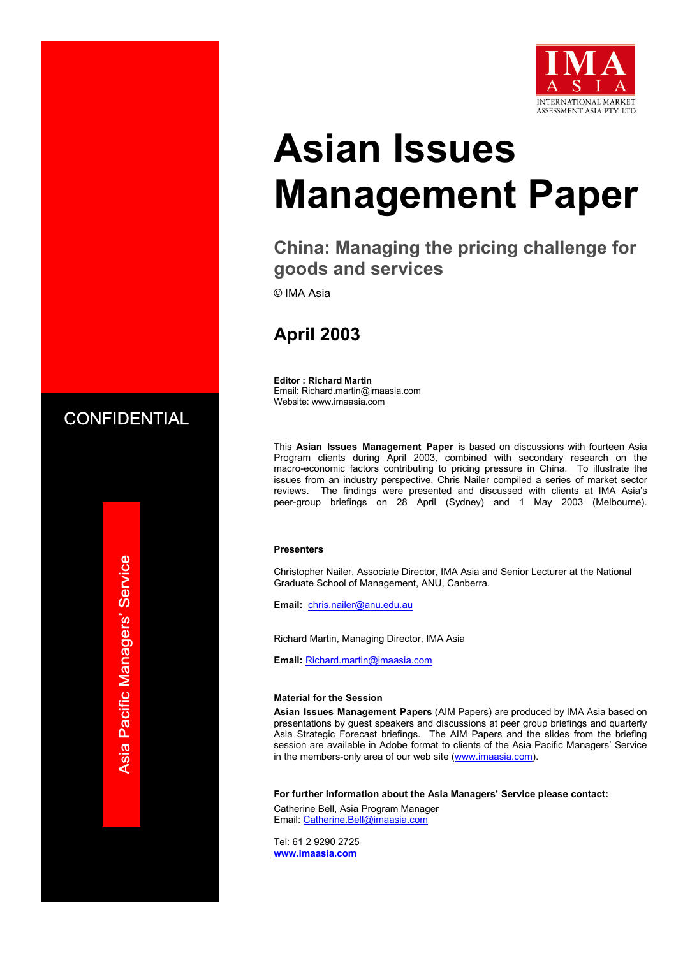

# **Asian Issues Management Paper**

# **China: Managing the pricing challenge for goods and services**

© IMA Asia

# **April 2003**

**Editor : Richard Martin**  Email: Richard.martin@imaasia.com Website: www.imaasia.com

This **Asian Issues Management Paper** is based on discussions with fourteen Asia Program clients during April 2003, combined with secondary research on the macro-economic factors contributing to pricing pressure in China. To illustrate the issues from an industry perspective, Chris Nailer compiled a series of market sector reviews. The findings were presented and discussed with clients at IMA Asia's peer-group briefings on 28 April (Sydney) and 1 May 2003 (Melbourne).

#### **Presenters**

Christopher Nailer, Associate Director, IMA Asia and Senior Lecturer at the National Graduate School of Management, ANU, Canberra.

**Email:** chris.nailer@anu.edu.au

Richard Martin, Managing Director, IMA Asia

**Email:** Richard.martin@imaasia.com

#### **Material for the Session**

**Asian Issues Management Papers** (AIM Papers) are produced by IMA Asia based on presentations by guest speakers and discussions at peer group briefings and quarterly Asia Strategic Forecast briefings. The AIM Papers and the slides from the briefing session are available in Adobe format to clients of the Asia Pacific Managers' Service in the members-only area of our web site (www.imaasia.com).

**For further information about the Asia Managers' Service please contact:**

Catherine Bell, Asia Program Manager Email: Catherine.Bell@imaasia.com

Tel: 61 2 9290 2725 **www.imaasia.com** 

**CONFIDENTIAL**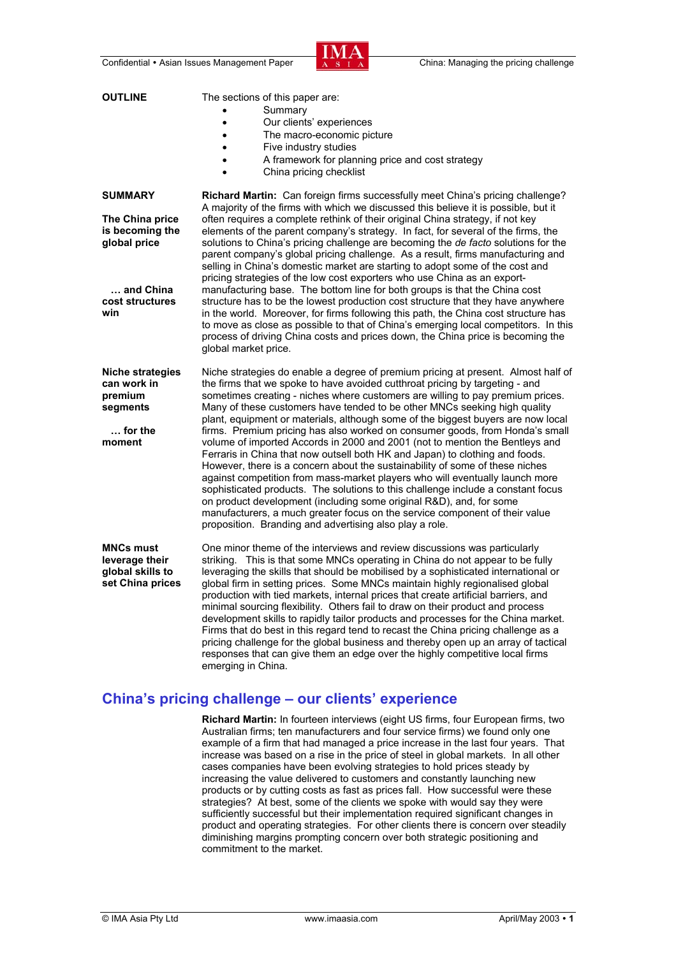

| <b>OUTLINE</b>                                                                                              | The sections of this paper are:<br>Summary<br>Our clients' experiences<br>$\bullet$<br>The macro-economic picture<br>$\bullet$<br>Five industry studies<br>$\bullet$<br>A framework for planning price and cost strategy<br>China pricing checklist<br>$\bullet$                                                                                                                                                                                                                                                                                                                                                                                                                                                                                                                                                                                                                                                                                                                                                                                                                                                                                     |
|-------------------------------------------------------------------------------------------------------------|------------------------------------------------------------------------------------------------------------------------------------------------------------------------------------------------------------------------------------------------------------------------------------------------------------------------------------------------------------------------------------------------------------------------------------------------------------------------------------------------------------------------------------------------------------------------------------------------------------------------------------------------------------------------------------------------------------------------------------------------------------------------------------------------------------------------------------------------------------------------------------------------------------------------------------------------------------------------------------------------------------------------------------------------------------------------------------------------------------------------------------------------------|
| <b>SUMMARY</b><br>The China price<br>is becoming the<br>global price<br>and China<br>cost structures<br>win | <b>Richard Martin:</b> Can foreign firms successfully meet China's pricing challenge?<br>A majority of the firms with which we discussed this believe it is possible, but it<br>often requires a complete rethink of their original China strategy, if not key<br>elements of the parent company's strategy. In fact, for several of the firms, the<br>solutions to China's pricing challenge are becoming the de facto solutions for the<br>parent company's global pricing challenge. As a result, firms manufacturing and<br>selling in China's domestic market are starting to adopt some of the cost and<br>pricing strategies of the low cost exporters who use China as an export-<br>manufacturing base. The bottom line for both groups is that the China cost<br>structure has to be the lowest production cost structure that they have anywhere<br>in the world. Moreover, for firms following this path, the China cost structure has<br>to move as close as possible to that of China's emerging local competitors. In this<br>process of driving China costs and prices down, the China price is becoming the<br>global market price. |
| <b>Niche strategies</b><br>can work in<br>premium<br>segments<br>$\ldots$ for the<br>moment                 | Niche strategies do enable a degree of premium pricing at present. Almost half of<br>the firms that we spoke to have avoided cutthroat pricing by targeting - and<br>sometimes creating - niches where customers are willing to pay premium prices.<br>Many of these customers have tended to be other MNCs seeking high quality<br>plant, equipment or materials, although some of the biggest buyers are now local<br>firms. Premium pricing has also worked on consumer goods, from Honda's small<br>volume of imported Accords in 2000 and 2001 (not to mention the Bentleys and<br>Ferraris in China that now outsell both HK and Japan) to clothing and foods.<br>However, there is a concern about the sustainability of some of these niches<br>against competition from mass-market players who will eventually launch more<br>sophisticated products. The solutions to this challenge include a constant focus<br>on product development (including some original R&D), and, for some<br>manufacturers, a much greater focus on the service component of their value<br>proposition. Branding and advertising also play a role.            |
| <b>MNCs must</b><br>leverage their<br>global skills to<br>set China prices                                  | One minor theme of the interviews and review discussions was particularly<br>striking. This is that some MNCs operating in China do not appear to be fully<br>leveraging the skills that should be mobilised by a sophisticated international or<br>global firm in setting prices. Some MNCs maintain highly regionalised global<br>production with tied markets, internal prices that create artificial barriers, and<br>minimal sourcing flexibility. Others fail to draw on their product and process<br>development skills to rapidly tailor products and processes for the China market.<br>Firms that do best in this regard tend to recast the China pricing challenge as a<br>pricing challenge for the global business and thereby open up an array of tactical<br>responses that can give them an edge over the highly competitive local firms<br>emerging in China.                                                                                                                                                                                                                                                                       |

# **China's pricing challenge – our clients' experience**

 **Richard Martin:** In fourteen interviews (eight US firms, four European firms, two Australian firms; ten manufacturers and four service firms) we found only one example of a firm that had managed a price increase in the last four years. That increase was based on a rise in the price of steel in global markets. In all other cases companies have been evolving strategies to hold prices steady by increasing the value delivered to customers and constantly launching new products or by cutting costs as fast as prices fall. How successful were these strategies? At best, some of the clients we spoke with would say they were sufficiently successful but their implementation required significant changes in product and operating strategies. For other clients there is concern over steadily diminishing margins prompting concern over both strategic positioning and commitment to the market.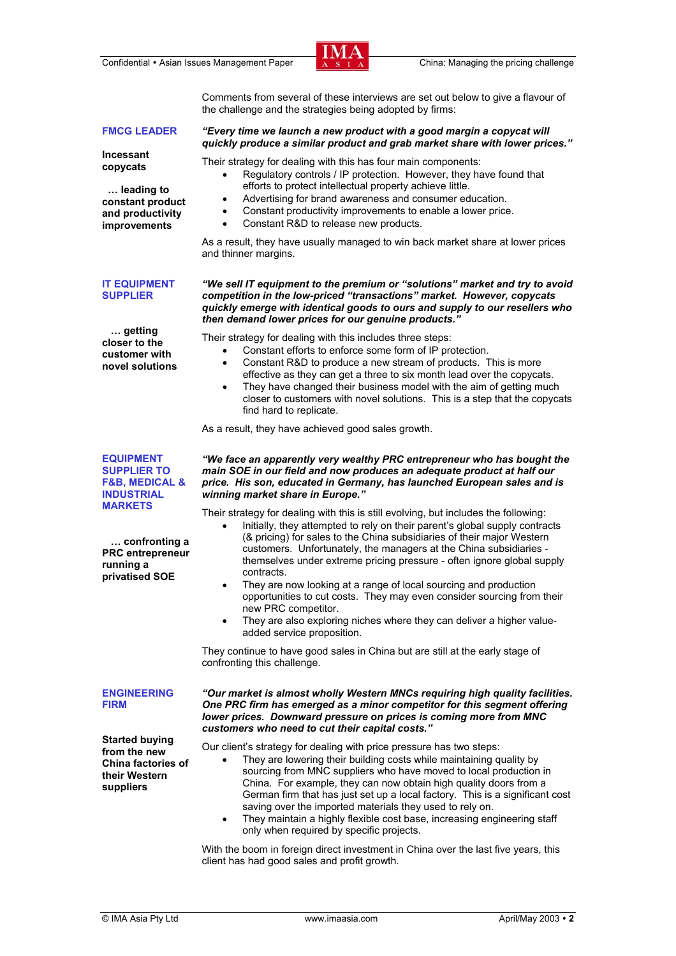Confidential • Asian Issues Management Paper China: Managing the pricing challenge



Comments from several of these interviews are set out below to give a flavour of the challenge and the strategies being adopted by firms:

## **FMCG LEADER**

 **… leading to constant product and productivity improvements** 

**Incessant copycats** 

## *"Every time we launch a new product with a good margin a copycat will quickly produce a similar product and grab market share with lower prices."*

Their strategy for dealing with this has four main components:

- Regulatory controls / IP protection. However, they have found that efforts to protect intellectual property achieve little.
- Advertising for brand awareness and consumer education.
- Constant productivity improvements to enable a lower price.
- Constant R&D to release new products.

As a result, they have usually managed to win back market share at lower prices and thinner margins.

#### *"We sell IT equipment to the premium or "solutions" market and try to avoid competition in the low-priced "transactions" market. However, copycats quickly emerge with identical goods to ours and supply to our resellers who then demand lower prices for our genuine products."*

Their strategy for dealing with this includes three steps:

- Constant efforts to enforce some form of IP protection.
- Constant R&D to produce a new stream of products. This is more effective as they can get a three to six month lead over the copycats.
- They have changed their business model with the aim of getting much closer to customers with novel solutions. This is a step that the copycats find hard to replicate.

As a result, they have achieved good sales growth.

**EQUIPMENT SUPPLIER TO F&B, MEDICAL & INDUSTRIAL MARKETS**

 **… confronting a PRC entrepreneur** 

**running a privatised SOE** 

*"We face an apparently very wealthy PRC entrepreneur who has bought the main SOE in our field and now produces an adequate product at half our price. His son, educated in Germany, has launched European sales and is winning market share in Europe."* 

Their strategy for dealing with this is still evolving, but includes the following:

- Initially, they attempted to rely on their parent's global supply contracts (& pricing) for sales to the China subsidiaries of their major Western customers. Unfortunately, the managers at the China subsidiaries themselves under extreme pricing pressure - often ignore global supply contracts.
- They are now looking at a range of local sourcing and production opportunities to cut costs. They may even consider sourcing from their new PRC competitor.
- They are also exploring niches where they can deliver a higher valueadded service proposition.

They continue to have good sales in China but are still at the early stage of confronting this challenge.

**ENGINEERING FIRM**

**Started buying from the new China factories of their Western suppliers** 

*"Our market is almost wholly Western MNCs requiring high quality facilities. One PRC firm has emerged as a minor competitor for this segment offering lower prices. Downward pressure on prices is coming more from MNC customers who need to cut their capital costs."* 

Our client's strategy for dealing with price pressure has two steps:

- They are lowering their building costs while maintaining quality by sourcing from MNC suppliers who have moved to local production in China. For example, they can now obtain high quality doors from a German firm that has just set up a local factory. This is a significant cost saving over the imported materials they used to rely on.
- They maintain a highly flexible cost base, increasing engineering staff only when required by specific projects.

With the boom in foreign direct investment in China over the last five years, this client has had good sales and profit growth.

 **… getting closer to the customer with** 

**novel solutions** 

**IT EQUIPMENT SUPPLIER**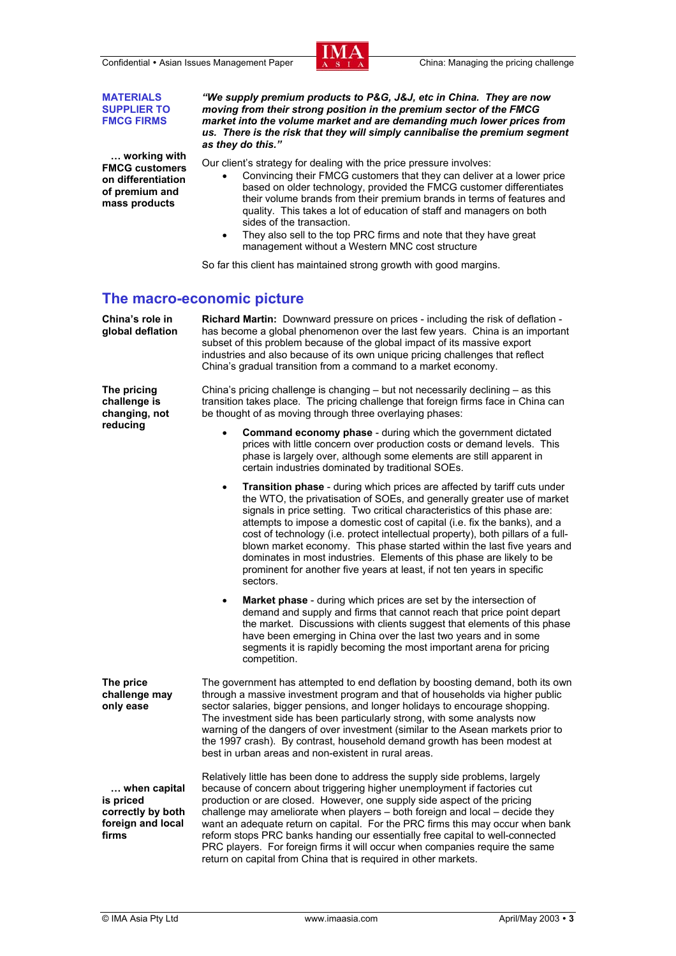Confidential • Asian Issues Management Paper China: Managing the pricing challenge



**MATERIALS SUPPLIER TO FMCG FIRMS**

 **… working with FMCG customers on differentiation of premium and mass products** 

*"We supply premium products to P&G, J&J, etc in China. They are now moving from their strong position in the premium sector of the FMCG market into the volume market and are demanding much lower prices from us. There is the risk that they will simply cannibalise the premium segment as they do this."* 

Our client's strategy for dealing with the price pressure involves:

- Convincing their FMCG customers that they can deliver at a lower price based on older technology, provided the FMCG customer differentiates their volume brands from their premium brands in terms of features and quality. This takes a lot of education of staff and managers on both sides of the transaction.
- They also sell to the top PRC firms and note that they have great management without a Western MNC cost structure

So far this client has maintained strong growth with good margins.

## **The macro-economic picture**

**China's role in global deflation Richard Martin:** Downward pressure on prices - including the risk of deflation has become a global phenomenon over the last few years. China is an important subset of this problem because of the global impact of its massive export industries and also because of its own unique pricing challenges that reflect China's gradual transition from a command to a market economy.

**The pricing challenge is changing, not reducing** 

China's pricing challenge is changing – but not necessarily declining – as this transition takes place. The pricing challenge that foreign firms face in China can be thought of as moving through three overlaying phases:

- **Command economy phase**  during which the government dictated prices with little concern over production costs or demand levels. This phase is largely over, although some elements are still apparent in certain industries dominated by traditional SOEs.
- **Transition phase** during which prices are affected by tariff cuts under the WTO, the privatisation of SOEs, and generally greater use of market signals in price setting. Two critical characteristics of this phase are: attempts to impose a domestic cost of capital (i.e. fix the banks), and a cost of technology (i.e. protect intellectual property), both pillars of a fullblown market economy. This phase started within the last five years and dominates in most industries. Elements of this phase are likely to be prominent for another five years at least, if not ten years in specific sectors.
- **Market phase** during which prices are set by the intersection of demand and supply and firms that cannot reach that price point depart the market. Discussions with clients suggest that elements of this phase have been emerging in China over the last two years and in some segments it is rapidly becoming the most important arena for pricing competition.

**The price challenge may only ease**  The government has attempted to end deflation by boosting demand, both its own through a massive investment program and that of households via higher public sector salaries, bigger pensions, and longer holidays to encourage shopping. The investment side has been particularly strong, with some analysts now warning of the dangers of over investment (similar to the Asean markets prior to the 1997 crash). By contrast, household demand growth has been modest at best in urban areas and non-existent in rural areas.

 **… when capital is priced correctly by both foreign and local**  Relatively little has been done to address the supply side problems, largely because of concern about triggering higher unemployment if factories cut production or are closed. However, one supply side aspect of the pricing challenge may ameliorate when players – both foreign and local – decide they want an adequate return on capital. For the PRC firms this may occur when bank reform stops PRC banks handing our essentially free capital to well-connected PRC players. For foreign firms it will occur when companies require the same return on capital from China that is required in other markets.

**firms**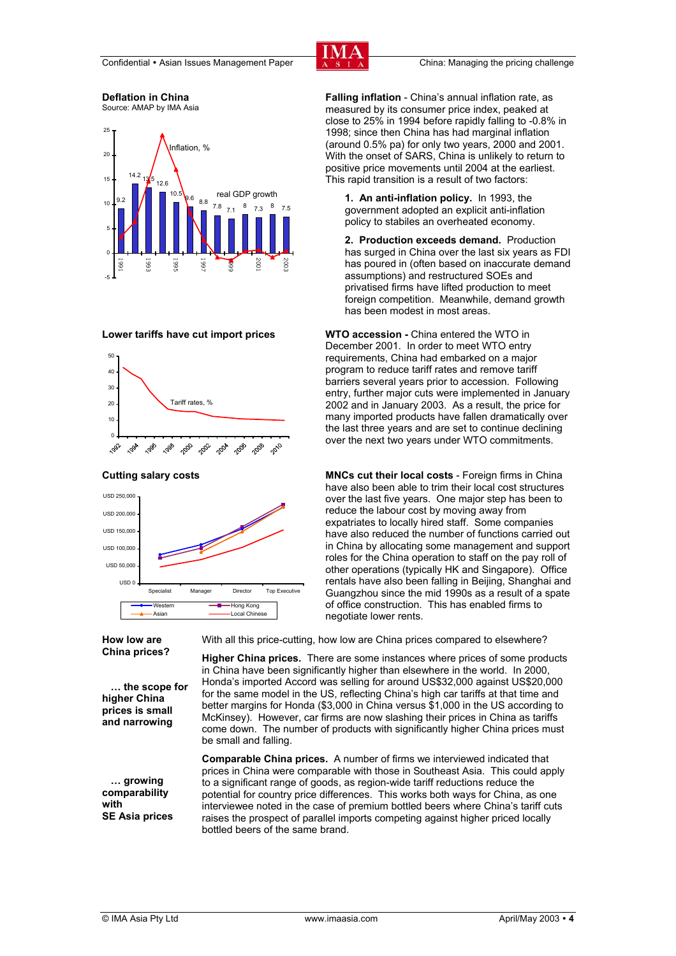

#### **Deflation in China**  Source: AMAP by IMA Asia



#### **Lower tariffs have cut import prices**





**How low are China prices?** 

 **… the scope for higher China prices is small and narrowing** 

 **… growing comparability with SE Asia prices**  With all this price-cutting, how low are China prices compared to elsewhere?

**Higher China prices.** There are some instances where prices of some products in China have been significantly higher than elsewhere in the world. In 2000, Honda's imported Accord was selling for around US\$32,000 against US\$20,000 for the same model in the US, reflecting China's high car tariffs at that time and better margins for Honda (\$3,000 in China versus \$1,000 in the US according to McKinsey). However, car firms are now slashing their prices in China as tariffs come down. The number of products with significantly higher China prices must be small and falling.

**Comparable China prices.** A number of firms we interviewed indicated that prices in China were comparable with those in Southeast Asia. This could apply to a significant range of goods, as region-wide tariff reductions reduce the potential for country price differences. This works both ways for China, as one interviewee noted in the case of premium bottled beers where China's tariff cuts raises the prospect of parallel imports competing against higher priced locally bottled beers of the same brand.

**Falling inflation** - China's annual inflation rate, as measured by its consumer price index, peaked at close to 25% in 1994 before rapidly falling to -0.8% in 1998; since then China has had marginal inflation (around 0.5% pa) for only two years, 2000 and 2001. With the onset of SARS, China is unlikely to return to positive price movements until 2004 at the earliest. .<br>This rapid transition is a result of two factors:

**1. An anti-inflation policy.** In 1993, the government adopted an explicit anti-inflation policy to stabiles an overheated economy.

**2. Production exceeds demand.** Production has surged in China over the last six years as FDI has poured in (often based on inaccurate demand assumptions) and restructured SOEs and privatised firms have lifted production to meet foreign competition. Meanwhile, demand growth has been modest in most areas.

**WTO accession -** China entered the WTO in December 2001. In order to meet WTO entry requirements, China had embarked on a major program to reduce tariff rates and remove tariff barriers several years prior to accession. Following entry, further major cuts were implemented in January 2002 and in January 2003. As a result, the price for many imported products have fallen dramatically over the last three years and are set to continue declining over the next two years under WTO commitments.

**Cutting salary costs MNCs cut their local costs - Foreign firms in China** have also been able to trim their local cost structures over the last five years. One major step has been to reduce the labour cost by moving away from expatriates to locally hired staff. Some companies have also reduced the number of functions carried out in China by allocating some management and support roles for the China operation to staff on the pay roll of other operations (typically HK and Singapore). Office rentals have also been falling in Beijing, Shanghai and Guangzhou since the mid 1990s as a result of a spate of office construction. This has enabled firms to negotiate lower rents.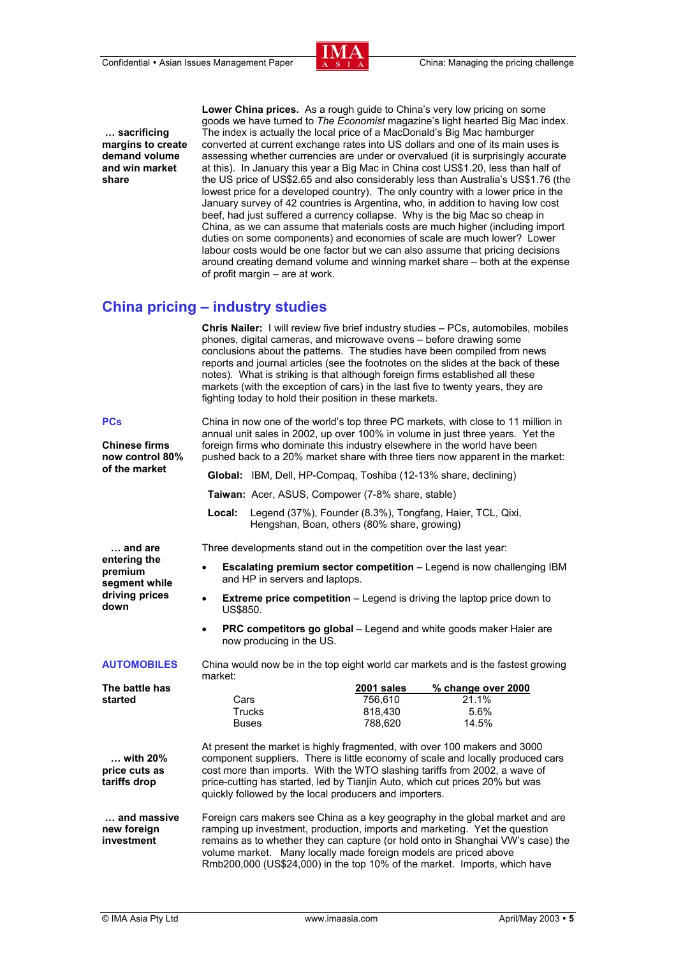

 **… sacrificing margins to create demand volume and win market share** 

**Lower China prices.** As a rough guide to China's very low pricing on some goods we have turned to *The Economist* magazine's light hearted Big Mac index. The index is actually the local price of a MacDonald's Big Mac hamburger converted at current exchange rates into US dollars and one of its main uses is assessing whether currencies are under or overvalued (it is surprisingly accurate at this). In January this year a Big Mac in China cost US\$1.20, less than half of the US price of US\$2.65 and also considerably less than Australia's US\$1.76 (the lowest price for a developed country). The only country with a lower price in the January survey of 42 countries is Argentina, who, in addition to having low cost beef, had just suffered a currency collapse. Why is the big Mac so cheap in China, as we can assume that materials costs are much higher (including import duties on some components) and economies of scale are much lower? Lower labour costs would be one factor but we can also assume that pricing decisions around creating demand volume and winning market share – both at the expense of profit margin – are at work.

# **China pricing – industry studies**

 **Chris Nailer:** I will review five brief industry studies – PCs, automobiles, mobiles phones, digital cameras, and microwave ovens – before drawing some conclusions about the patterns. The studies have been compiled from news reports and journal articles (see the footnotes on the slides at the back of these notes). What is striking is that although foreign firms established all these markets (with the exception of cars) in the last five to twenty years, they are fighting today to hold their position in these markets.

#### **PCs**

**Chinese firms now control 80% of the market**

China in now one of the world's top three PC markets, with close to 11 million in annual unit sales in 2002, up over 100% in volume in just three years. Yet the foreign firms who dominate this industry elsewhere in the world have been pushed back to a 20% market share with three tiers now apparent in the market:

**Global:** IBM, Dell, HP-Compaq, Toshiba (12-13% share, declining)

**Taiwan:** Acer, ASUS, Compower (7-8% share, stable)

 **Local:** Legend (37%), Founder (8.3%), Tongfang, Haier, TCL, Qixi, Hengshan, Boan, others (80% share, growing)

Three developments stand out in the competition over the last year:

 **… and are entering the premium segment while driving prices down** 

- **Escalating premium sector competition** Legend is now challenging IBM and HP in servers and laptops.
- **Extreme price competition** Legend is driving the laptop price down to US\$850.
- **PRC competitors go global** Legend and white goods maker Haier are now producing in the US.

#### **AUTOMOBILES**

China would now be in the top eight world car markets and is the fastest growing market:

| The battle has |              | 2001 sales | % change over 2000 |
|----------------|--------------|------------|--------------------|
| started        | Cars         | 756.610    | $21.1\%$           |
|                | Trucks       | 818.430    | 5.6%               |
|                | <b>Buses</b> | 788.620    | 14.5%              |
|                |              |            |                    |

 **… with 20% price cuts as tariffs drop**  At present the market is highly fragmented, with over 100 makers and 3000 component suppliers. There is little economy of scale and locally produced cars cost more than imports. With the WTO slashing tariffs from 2002, a wave of price-cutting has started, led by Tianjin Auto, which cut prices 20% but was quickly followed by the local producers and importers.

 **… and massive new foreign investment**  Foreign cars makers see China as a key geography in the global market and are ramping up investment, production, imports and marketing. Yet the question remains as to whether they can capture (or hold onto in Shanghai VW's case) the volume market. Many locally made foreign models are priced above Rmb200,000 (US\$24,000) in the top 10% of the market. Imports, which have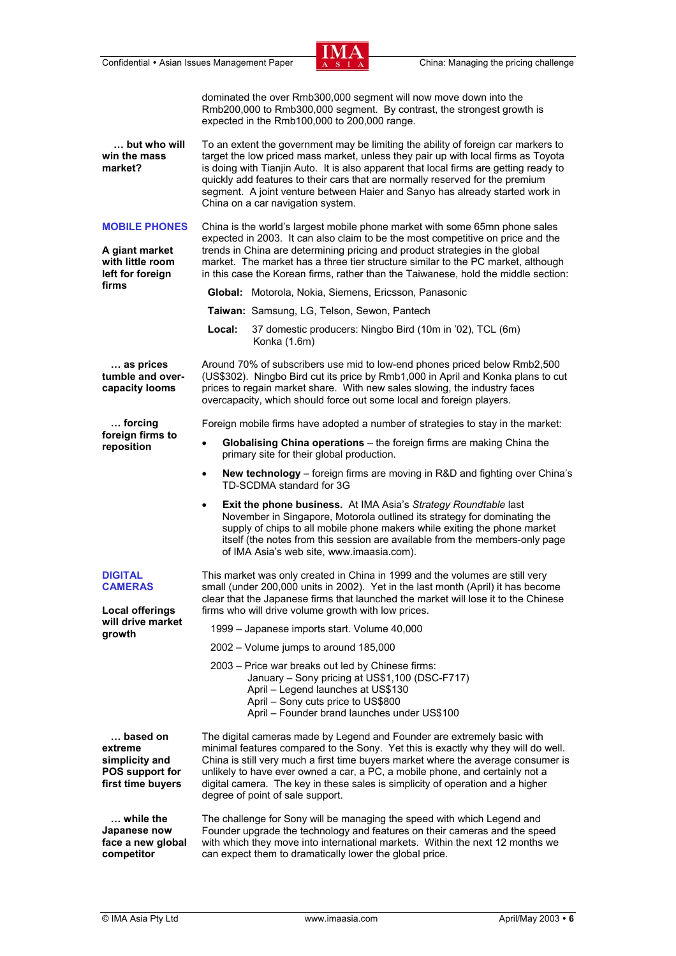Confidential • Asian Issues Management Paper China: Managing the pricing challenge



dominated the over Rmb300,000 segment will now move down into the Rmb200,000 to Rmb300,000 segment. By contrast, the strongest growth is expected in the Rmb100,000 to 200,000 range.

 **… but who will win the mass market?**  To an extent the government may be limiting the ability of foreign car markers to target the low priced mass market, unless they pair up with local firms as Toyota is doing with Tianjin Auto. It is also apparent that local firms are getting ready to quickly add features to their cars that are normally reserved for the premium segment. A joint venture between Haier and Sanyo has already started work in China on a car navigation system.

**MOBILE PHONES A giant market with little room left for foreign**  China is the world's largest mobile phone market with some 65mn phone sales expected in 2003. It can also claim to be the most competitive on price and the trends in China are determining pricing and product strategies in the global market. The market has a three tier structure similar to the PC market, although

in this case the Korean firms, rather than the Taiwanese, hold the middle section:

 **Global:** Motorola, Nokia, Siemens, Ericsson, Panasonic

**Taiwan:** Samsung, LG, Telson, Sewon, Pantech

 **Local:** 37 domestic producers: Ningbo Bird (10m in '02), TCL (6m) Konka (1.6m)

 **… as prices tumble and overcapacity looms** 

 **… forcing foreign firms to reposition** 

**firms** 

Around 70% of subscribers use mid to low-end phones priced below Rmb2,500 (US\$302). Ningbo Bird cut its price by Rmb1,000 in April and Konka plans to cut prices to regain market share. With new sales slowing, the industry faces overcapacity, which should force out some local and foreign players.

Foreign mobile firms have adopted a number of strategies to stay in the market:

- **Globalising China operations** the foreign firms are making China the primary site for their global production.
- **New technology** foreign firms are moving in R&D and fighting over China's TD-SCDMA standard for 3G
- **Exit the phone business.** At IMA Asia's *Strategy Roundtable* last November in Singapore, Motorola outlined its strategy for dominating the supply of chips to all mobile phone makers while exiting the phone market itself (the notes from this session are available from the members-only page of IMA Asia's web site, www.imaasia.com).

| <b>DIGITAL</b><br><b>CAMERAS</b><br><b>Local offerings</b><br>will drive market<br>growth | This market was only created in China in 1999 and the volumes are still very<br>small (under 200,000 units in 2002). Yet in the last month (April) it has become<br>clear that the Japanese firms that launched the market will lose it to the Chinese<br>firms who will drive volume growth with low prices.                                                                                                                                           |  |
|-------------------------------------------------------------------------------------------|---------------------------------------------------------------------------------------------------------------------------------------------------------------------------------------------------------------------------------------------------------------------------------------------------------------------------------------------------------------------------------------------------------------------------------------------------------|--|
|                                                                                           | 1999 – Japanese imports start. Volume 40,000<br>$2002 - Volume$ jumps to around 185,000                                                                                                                                                                                                                                                                                                                                                                 |  |
|                                                                                           | 2003 – Price war breaks out led by Chinese firms:<br>January - Sony pricing at US\$1,100 (DSC-F717)<br>April - Legend launches at US\$130<br>April – Sony cuts price to US\$800<br>April – Founder brand launches under US\$100                                                                                                                                                                                                                         |  |
| based on<br>extreme<br>simplicity and<br><b>POS support for</b><br>first time buyers      | The digital cameras made by Legend and Founder are extremely basic with<br>minimal features compared to the Sony. Yet this is exactly why they will do well.<br>China is still very much a first time buyers market where the average consumer is<br>unlikely to have ever owned a car, a PC, a mobile phone, and certainly not a<br>digital camera. The key in these sales is simplicity of operation and a higher<br>degree of point of sale support. |  |
| while the<br>Japanese now                                                                 | The challenge for Sony will be managing the speed with which Legend and<br>Founder upgrade the technology and features on their cameras and the speed                                                                                                                                                                                                                                                                                                   |  |

The challenge for Sony will be managing the speed with which Legend and Founder upgrade the technology and features on their cameras and the speed with which they move into international markets. Within the next 12 months we can expect them to dramatically lower the global price.

**face a new global competitor**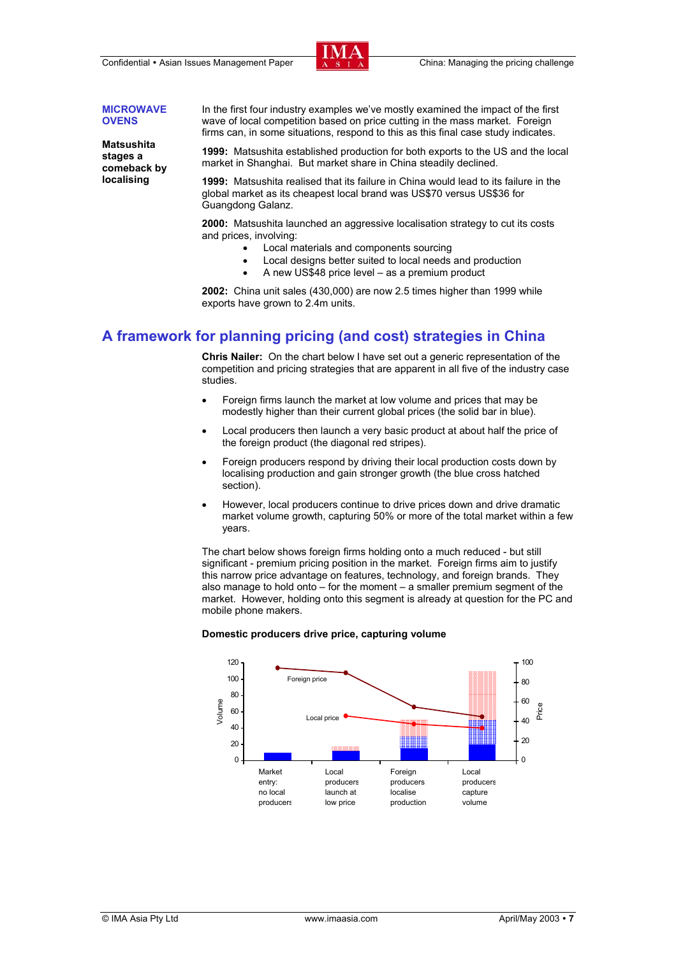Confidential • Asian Issues Management Paper  $\overline{X}$   $\overline{S}$   $\overline{A}$  China: Managing the pricing challenge



#### **MICROWAVE OVENS**

**Matsushita stages a comeback by localising** 

In the first four industry examples we've mostly examined the impact of the first wave of local competition based on price cutting in the mass market. Foreign firms can, in some situations, respond to this as this final case study indicates.

**1999:** Matsushita established production for both exports to the US and the local market in Shanghai. But market share in China steadily declined.

**1999:** Matsushita realised that its failure in China would lead to its failure in the global market as its cheapest local brand was US\$70 versus US\$36 for Guangdong Galanz.

**2000:** Matsushita launched an aggressive localisation strategy to cut its costs and prices, involving:

- Local materials and components sourcing
- Local designs better suited to local needs and production
- A new US\$48 price level as a premium product

**2002:** China unit sales (430,000) are now 2.5 times higher than 1999 while exports have grown to 2.4m units.

# **A framework for planning pricing (and cost) strategies in China**

 **Chris Nailer:** On the chart below I have set out a generic representation of the competition and pricing strategies that are apparent in all five of the industry case studies.

- Foreign firms launch the market at low volume and prices that may be modestly higher than their current global prices (the solid bar in blue).
- Local producers then launch a very basic product at about half the price of the foreign product (the diagonal red stripes).
- Foreign producers respond by driving their local production costs down by localising production and gain stronger growth (the blue cross hatched section).
- However, local producers continue to drive prices down and drive dramatic market volume growth, capturing 50% or more of the total market within a few years.

The chart below shows foreign firms holding onto a much reduced - but still significant - premium pricing position in the market. Foreign firms aim to justify this narrow price advantage on features, technology, and foreign brands. They also manage to hold onto – for the moment – a smaller premium segment of the market. However, holding onto this segment is already at question for the PC and mobile phone makers.

#### **Domestic producers drive price, capturing volume**